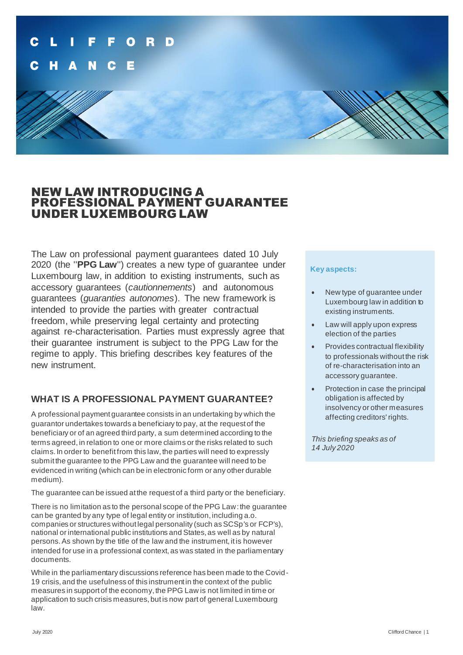

## NEW LAW INTRODUCING A PROFESSIONAL PAYMENT GUARANTEE UNDER LUXEMBOURG LAW

The Law on professional payment guarantees dated 10 July 2020 (the ''**PPG Law**'') creates a new type of guarantee under Luxembourg law, in addition to existing instruments, such as accessory guarantees (*cautionnements*) and autonomous guarantees (*guaranties autonomes*). The new framework is intended to provide the parties with greater contractual freedom, while preserving legal certainty and protecting against re-characterisation. Parties must expressly agree that their guarantee instrument is subject to the PPG Law for the regime to apply. This briefing describes key features of the new instrument.

## **WHAT IS A PROFESSIONAL PAYMENT GUARANTEE?**

A professional payment guarantee consists in an undertaking by which the guarantor undertakes towards a beneficiary to pay, at the request of the beneficiary or of an agreed third party, a sum determined according to the terms agreed, in relation to one or more claims or the risks related to such claims. In order to benefit from this law, the parties will need to expressly submit the guarantee to the PPG Law and the guarantee will need to be evidenced in writing (which can be in electronic form or any other durable medium).

The guarantee can be issued at the request of a third party or the beneficiary.

There is no limitation as to the personal scope of the PPG Law: the guarantee can be granted by any type of legal entity or institution, including a.o. companies or structures without legal personality (such as SCSp's or FCP's), national or international public institutions and States, as well as by natural persons. As shown by the title of the law and the instrument, it is however intended for use in a professional context, as was stated in the parliamentary documents.

While in the parliamentary discussions reference has been made to the Covid-19 crisis, and the usefulness of this instrument in the context of the public measures in support of the economy, the PPG Law is not limited in time or application to such crisis measures, but is now part of general Luxembourg law.

#### **Key aspects:**

- New type of guarantee under Luxembourg law in addition to existing instruments.
- Law will apply upon express election of the parties
- Provides contractual flexibility to professionals without the risk of re-characterisation into an accessory guarantee.
- Protection in case the principal obligation is affected by insolvency or other measures affecting creditors' rights.

*This briefing speaks as of 14 July 2020*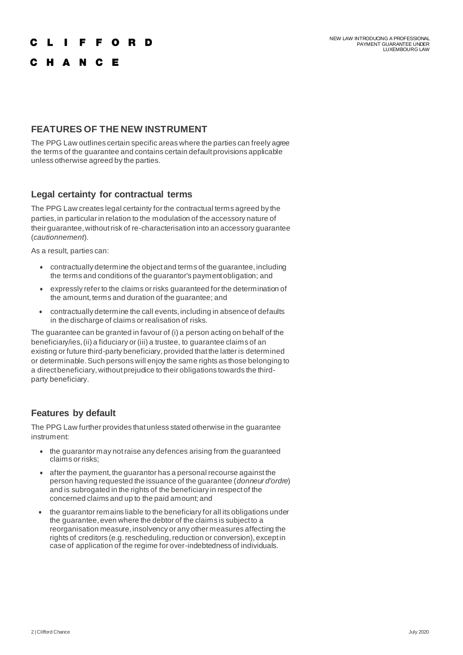## **IFFORD**

## C H A N C E

## **FEATURES OF THE NEW INSTRUMENT**

The PPG Law outlines certain specific areas where the parties can freely agree the terms of the guarantee and contains certain default provisions applicable unless otherwise agreed by the parties.

#### **Legal certainty for contractual terms**

The PPG Law creates legal certainty for the contractual terms agreed by the parties, in particular in relation to the modulation of the accessory nature of their guarantee, without risk of re-characterisation into an accessory guarantee (*cautionnement*).

As a result, parties can:

- contractually determine the object and terms of the guarantee, including the terms and conditions of the guarantor's payment obligation; and
- expressly refer to the claims or risks guaranteed for the determination of the amount, terms and duration of the guarantee; and
- contractually determine the call events, including in absence of defaults in the discharge of claims or realisation of risks.

The guarantee can be granted in favour of (i) a person acting on behalf of the beneficiary/ies, (ii) a fiduciary or (iii) a trustee, to guarantee claims of an existing or future third-party beneficiary, provided that the latter is determined or determinable. Such persons will enjoy the same rights as those belonging to a direct beneficiary, without prejudice to their obligations towards the thirdparty beneficiary.

#### **Features by default**

The PPG Law further provides that unless stated otherwise in the guarantee instrument:

- the guarantor may not raise any defences arising from the guaranteed claims or risks;
- after the payment, the guarantor has a personal recourse against the person having requested the issuance of the guarantee (*donneur d'ordre*) and is subrogated in the rights of the beneficiary in respect of the concerned claims and up to the paid amount; and
- the guarantor remains liable to the beneficiary for all its obligations under the guarantee, even where the debtor of the claims is subject to a reorganisation measure, insolvency or any other measures affecting the rights of creditors (e.g. rescheduling, reduction or conversion), except in case of application of the regime for over-indebtedness of individuals.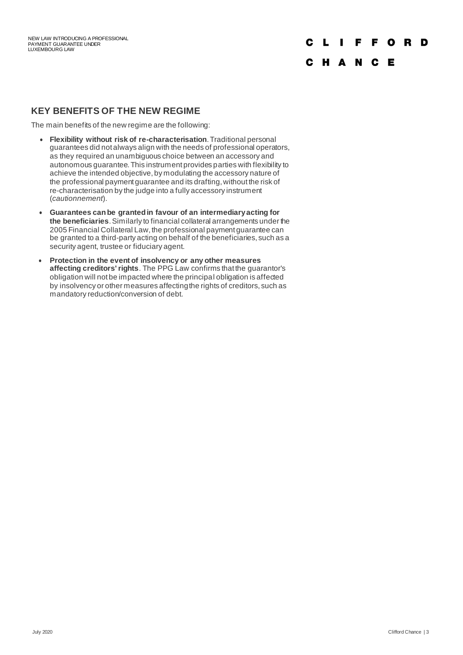## L I F F O R D

## C H A N C E

#### **KEY BENEFITS OF THE NEW REGIME**

The main benefits of the new regime are the following:

- **Flexibility without risk of re-characterisation**. Traditional personal guarantees did not always align with the needs of professional operators, as they required an unambiguous choice between an accessory and autonomous guarantee. This instrument provides parties with flexibility to achieve the intended objective, by modulating the accessory nature of the professional payment guarantee and its drafting, without the risk of re-characterisation by the judge into a fully accessory instrument (*cautionnement*).
- **Guarantees can be granted in favour of an intermediary acting for the beneficiaries**. Similarly to financial collateral arrangements under the 2005 Financial Collateral Law, the professional payment guarantee can be granted to a third-party acting on behalf of the beneficiaries, such as a security agent, trustee or fiduciary agent.
- **Protection in the event of insolvency or any other measures affecting creditors' rights**. The PPG Law confirms that the guarantor's obligation will not be impacted where the principal obligation is affected by insolvency or other measures affecting the rights of creditors, such as mandatory reduction/conversion of debt.